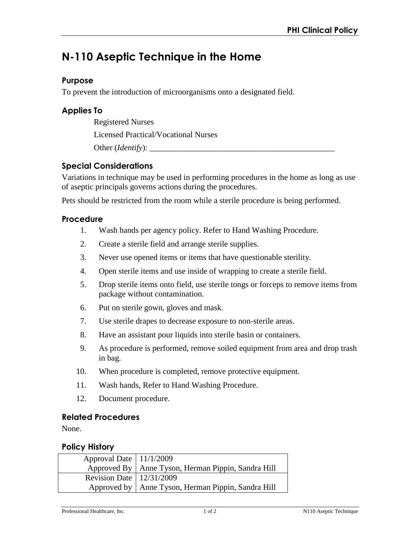# **N-110 Aseptic Technique in the Home**

## **Purpose**

To prevent the introduction of microorganisms onto a designated field.

## **Applies To**

Registered Nurses

Licensed Practical/Vocational Nurses

Other (*Identify*):

# **Special Considerations**

Variations in technique may be used in performing procedures in the home as long as use of aseptic principals governs actions during the procedures.

Pets should be restricted from the room while a sterile procedure is being performed.

## **Procedure**

- 1. Wash hands per agency policy. Refer to Hand Washing Procedure.
- 2. Create a sterile field and arrange sterile supplies.
- 3. Never use opened items or items that have questionable sterility.
- 4. Open sterile items and use inside of wrapping to create a sterile field.
- 5. Drop sterile items onto field, use sterile tongs or forceps to remove items from package without contamination.
- 6. Put on sterile gown, gloves and mask.
- 7. Use sterile drapes to decrease exposure to non-sterile areas.
- 8. Have an assistant pour liquids into sterile basin or containers.
- 9. As procedure is performed, remove soiled equipment from area and drop trash in bag.
- 10. When procedure is completed, remove protective equipment.
- 11. Wash hands, Refer to Hand Washing Procedure.
- 12. Document procedure.

#### **Related Procedures**

None.

#### **Policy History**

| Approval Date   11/1/2009    |                                                      |
|------------------------------|------------------------------------------------------|
|                              | Approved By   Anne Tyson, Herman Pippin, Sandra Hill |
| Revision Date   $12/31/2009$ |                                                      |
|                              | Approved by   Anne Tyson, Herman Pippin, Sandra Hill |